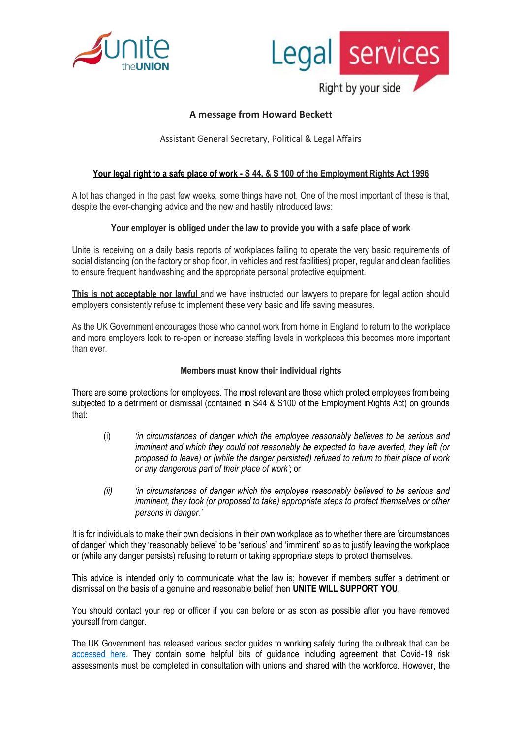



# **A message from Howard Beckett**

Assistant General Secretary, Political & Legal Affairs

### **Your legal right to a safe place of work - S 44. & S 100 of the Employment Rights Act 1996**

A lot has changed in the past few weeks, some things have not. One of the most important of these is that, despite the ever-changing advice and the new and hastily introduced laws:

#### **Your employer is obliged under the law to provide you with a safe place of work**

Unite is receiving on a daily basis reports of workplaces failing to operate the very basic requirements of social distancing (on the factory or shop floor, in vehicles and rest facilities) proper, regular and clean facilities to ensure frequent handwashing and the appropriate personal protective equipment.

**This is not acceptable nor lawful and we have instructed our lawyers to prepare for legal action should** employers consistently refuse to implement these very basic and life saving measures.

As the UK Government encourages those who cannot work from home in England to return to the workplace and more employers look to re-open or increase staffing levels in workplaces this becomes more important than ever.

#### **Members must know their individual rights**

There are some protections for employees. The most relevant are those which protect employees from being subjected to a detriment or dismissal (contained in S44 & S100 of the Employment Rights Act) on grounds that:

- (i) *'in circumstances of danger which the employee reasonably believes to be serious and imminent and which they could not reasonably be expected to have averted, they left (or proposed to leave) or (while the danger persisted) refused to return to their place of work or any dangerous part of their place of work'*; or
- *(ii) 'in circumstances of danger which the employee reasonably believed to be serious and imminent, they took (or proposed to take) appropriate steps to protect themselves or other persons in danger.'*

It is for individuals to make their own decisions in their own workplace as to whether there are 'circumstances of danger' which they 'reasonably believe' to be 'serious' and 'imminent' so as to justify leaving the workplace or (while any danger persists) refusing to return or taking appropriate steps to protect themselves.

This advice is intended only to communicate what the law is; however if members suffer a detriment or dismissal on the basis of a genuine and reasonable belief then **UNITE WILL SUPPORT YOU**.

You should contact your rep or officer if you can before or as soon as possible after you have removed yourself from danger.

The UK Government has released various sector guides to working safely during the outbreak that can be [accessed here.](http://www.gov.uk/guidance/working-safely-during-coronavirus-covid-19) They contain some helpful bits of guidance including agreement that Covid-19 risk assessments must be completed in consultation with unions and shared with the workforce. However, the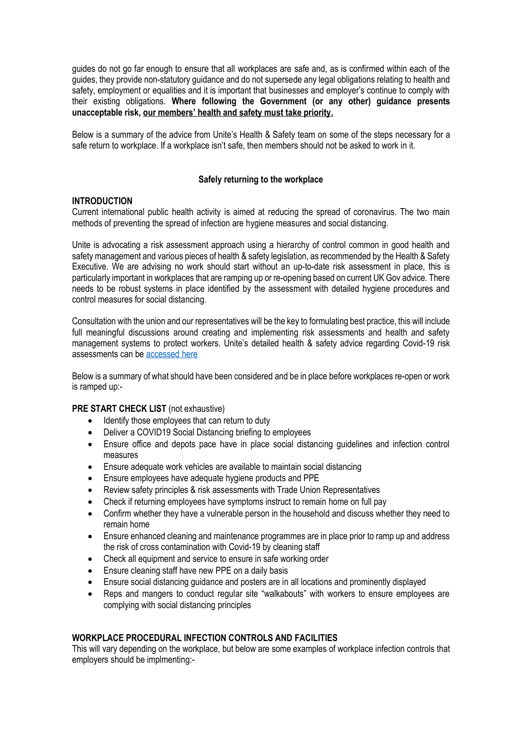guides do not go far enough to ensure that all workplaces are safe and, as is confirmed within each of the guides, they provide non-statutory guidance and do not supersede any legal obligations relating to health and safety, employment or equalities and it is important that businesses and employer's continue to comply with their existing obligations. **Where following the Government (or any other) guidance presents unacceptable risk, our members' health and safety must take priority.**

Below is a summary of the advice from Unite's Health & Safety team on some of the steps necessary for a safe return to workplace. If a workplace isn't safe, then members should not be asked to work in it.

### **Safely returning to the workplace**

### **INTRODUCTION**

Current international public health activity is aimed at reducing the spread of coronavirus. The two main methods of preventing the spread of infection are hygiene measures and social distancing.

Unite is advocating a risk assessment approach using a hierarchy of control common in good health and safety management and various pieces of health & safety legislation, as recommended by the Health & Safety Executive. We are advising no work should start without an up-to-date risk assessment in place, this is particularly important in workplaces that are ramping up or re-opening based on current UK Gov advice. There needs to be robust systems in place identified by the assessment with detailed hygiene procedures and control measures for social distancing.

Consultation with the union and our representatives will be the key to formulating best practice, this will include full meaningful discussions around creating and implementing risk assessments and health and safety management systems to protect workers. Unite's detailed health & safety advice regarding Covid-19 risk assessments can be [accessed here](https://unitetheunion.org/media/3069/009-riskassessandprocedures-2020-05-07.pdf)

Below is a summary of what should have been considered and be in place before workplaces re-open or work is ramped up:-

#### **PRE START CHECK LIST** (not exhaustive)

- Identify those employees that can return to duty
- Deliver a COVID19 Social Distancing briefing to employees
- Ensure office and depots pace have in place social distancing guidelines and infection control measures
- Ensure adequate work vehicles are available to maintain social distancing
- Ensure employees have adequate hygiene products and PPE
- Review safety principles & risk assessments with Trade Union Representatives
- Check if returning employees have symptoms instruct to remain home on full pay
- Confirm whether they have a vulnerable person in the household and discuss whether they need to remain home
- Ensure enhanced cleaning and maintenance programmes are in place prior to ramp up and address the risk of cross contamination with Covid-19 by cleaning staff
- Check all equipment and service to ensure in safe working order
- Ensure cleaning staff have new PPE on a daily basis
- Ensure social distancing guidance and posters are in all locations and prominently displayed
- Reps and mangers to conduct regular site "walkabouts" with workers to ensure employees are complying with social distancing principles

### **WORKPLACE PROCEDURAL INFECTION CONTROLS AND FACILITIES**

This will vary depending on the workplace, but below are some examples of workplace infection controls that employers should be implmenting:-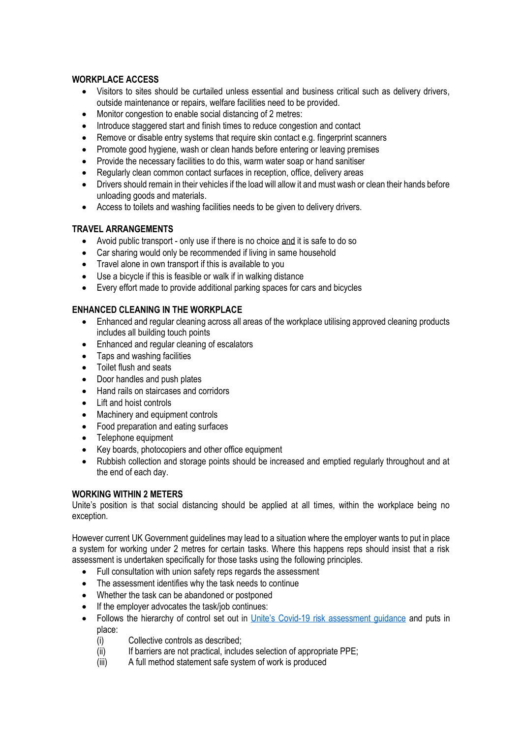## **WORKPLACE ACCESS**

- Visitors to sites should be curtailed unless essential and business critical such as delivery drivers, outside maintenance or repairs, welfare facilities need to be provided.
- Monitor congestion to enable social distancing of 2 metres:
- Introduce staggered start and finish times to reduce congestion and contact
- Remove or disable entry systems that require skin contact e.g. fingerprint scanners
- Promote good hygiene, wash or clean hands before entering or leaving premises
- Provide the necessary facilities to do this, warm water soap or hand sanitiser
- Regularly clean common contact surfaces in reception, office, delivery areas
- Drivers should remain in their vehicles if the load will allow it and must wash or clean their hands before unloading goods and materials.
- Access to toilets and washing facilities needs to be given to delivery drivers.

# **TRAVEL ARRANGEMENTS**

- Avoid public transport only use if there is no choice and it is safe to do so
- Car sharing would only be recommended if living in same household
- Travel alone in own transport if this is available to you
- Use a bicycle if this is feasible or walk if in walking distance
- Every effort made to provide additional parking spaces for cars and bicycles

# **ENHANCED CLEANING IN THE WORKPLACE**

- Enhanced and regular cleaning across all areas of the workplace utilising approved cleaning products includes all building touch points
- Enhanced and regular cleaning of escalators
- Taps and washing facilities
- Toilet flush and seats
- Door handles and push plates
- Hand rails on staircases and corridors
- Lift and hoist controls
- Machinery and equipment controls
- Food preparation and eating surfaces
- Telephone equipment
- Key boards, photocopiers and other office equipment
- Rubbish collection and storage points should be increased and emptied regularly throughout and at the end of each day.

## **WORKING WITHIN 2 METERS**

Unite's position is that social distancing should be applied at all times, within the workplace being no exception.

However current UK Government guidelines may lead to a situation where the employer wants to put in place a system for working under 2 metres for certain tasks. Where this happens reps should insist that a risk assessment is undertaken specifically for those tasks using the following principles.

- Full consultation with union safety reps regards the assessment
- The assessment identifies why the task needs to continue
- Whether the task can be abandoned or postponed
- If the employer advocates the task/job continues:
- Follows the hierarchy of control set out in *Unite's Covid-19* risk assessment guidance and puts in place:
	- (i) Collective controls as described;
	- (ii) If barriers are not practical, includes selection of appropriate PPE;
	- (iii) A full method statement safe system of work is produced